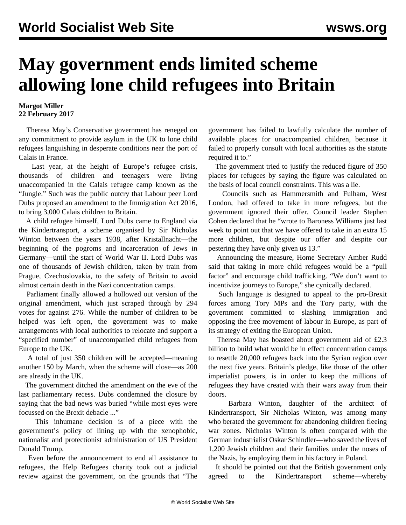## **May government ends limited scheme allowing lone child refugees into Britain**

## **Margot Miller 22 February 2017**

 Theresa May's Conservative government has reneged on any commitment to provide asylum in the UK to lone child refugees languishing in desperate conditions near the port of Calais in France.

 Last year, at the height of Europe's refugee crisis, thousands of children and teenagers were living unaccompanied in the Calais refugee camp known as the "Jungle." Such was the public outcry that Labour peer Lord Dubs proposed an amendment to the Immigration Act 2016, to bring 3,000 Calais children to Britain.

 A child refugee himself, Lord Dubs came to England via the Kindertransport, a scheme organised by Sir Nicholas Winton between the years 1938, after Kristallnacht—the beginning of the pogroms and incarceration of Jews in Germany—until the start of World War II. Lord Dubs was one of thousands of Jewish children, taken by train from Prague, Czechoslovakia, to the safety of Britain to avoid almost certain death in the Nazi concentration camps.

 Parliament finally allowed a hollowed out version of the original amendment, which just scraped through by 294 votes for against 276. While the number of children to be helped was left open, the government was to make arrangements with local authorities to relocate and support a "specified number" of unaccompanied child refugees from Europe to the UK.

 A total of just 350 children will be accepted—meaning another 150 by March, when the scheme will close—as 200 are already in the UK.

 The government ditched the amendment on the eve of the last parliamentary recess. Dubs condemned the closure by saying that the bad news was buried "while most eyes were focussed on the Brexit debacle ..."

 This inhumane decision is of a piece with the government's policy of lining up with the xenophobic, nationalist and protectionist administration of US President Donald Trump.

 Even before the announcement to end all assistance to refugees, the Help Refugees charity took out a judicial review against the government, on the grounds that "The government has failed to lawfully calculate the number of available places for unaccompanied children, because it failed to properly consult with local authorities as the statute required it to."

 The government tried to justify the reduced figure of 350 places for refugees by saying the figure was calculated on the basis of local council constraints. This was a lie.

 Councils such as Hammersmith and Fulham, West London, had offered to take in more refugees, but the government ignored their offer. Council leader Stephen Cohen declared that he "wrote to Baroness Williams just last week to point out that we have offered to take in an extra 15 more children, but despite our offer and despite our pestering they have only given us 13."

 Announcing the measure, Home Secretary Amber Rudd said that taking in more child refugees would be a "pull factor" and encourage child trafficking. "We don't want to incentivize journeys to Europe," she cynically declared.

 Such language is designed to appeal to the pro-Brexit forces among Tory MPs and the Tory party, with the government committed to slashing immigration and opposing the free movement of labour in Europe, as part of its strategy of exiting the European Union.

 Theresa May has boasted about government aid of £2.3 billion to build what would be in effect concentration camps to resettle 20,000 refugees back into the Syrian region over the next five years. Britain's pledge, like those of the other imperialist powers, is in order to keep the millions of refugees they have created with their wars away from their doors.

 Barbara Winton, daughter of the architect of Kindertransport, Sir Nicholas Winton, was among many who berated the government for abandoning children fleeing war zones. Nicholas Winton is often compared with the German industrialist Oskar Schindler—who saved the lives of 1,200 Jewish children and their families under the noses of the Nazis, by employing them in his factory in Poland.

 It should be pointed out that the British government only agreed to the Kindertransport scheme—whereby